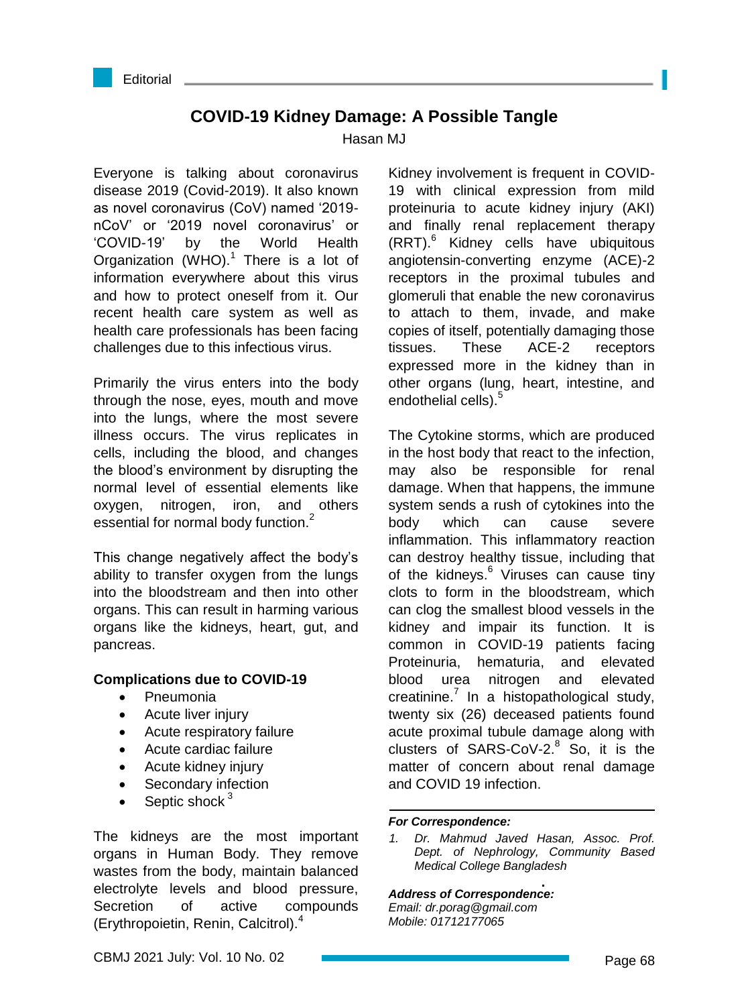

# **COVID-19 Kidney Damage: A Possible Tangle**

Hasan M.I.

Everyone is talking about coronavirus disease 2019 (Covid-2019). It also known as novel coronavirus (CoV) named '2019 nCoV' or '2019 novel coronavirus' or 'COVID-19' by the World Health Organization (WHO). $1$  There is a lot of information everywhere about this virus and how to protect oneself from it. Our recent health care system as well as health care professionals has been facing challenges due to this infectious virus.

Primarily the virus enters into the body through the nose, eyes, mouth and move into the lungs, where the most severe illness occurs. The virus replicates in cells, including the blood, and changes the blood's environment by disrupting the normal level of essential elements like oxygen, nitrogen, iron, and others essential for normal body function.<sup>2</sup>

This change negatively affect the body's ability to transfer oxygen from the lungs into the bloodstream and then into other organs. This can result in harming various organs like the kidneys, heart, gut, and pancreas.

# **Complications due to COVID-19**

- Pneumonia
- Acute liver injury
- Acute respiratory failure
- Acute cardiac failure
- Acute kidney injury
- Secondary infection
- Septic shock<sup>3</sup>

The kidneys are the most important organs in Human Body. They remove wastes from the body, maintain balanced electrolyte levels and blood pressure, Secretion of active compounds (Erythropoietin, Renin, Calcitrol).<sup>4</sup>

Kidney involvement is frequent in COVID-19 with clinical expression from mild proteinuria to acute kidney injury (AKI) and finally renal replacement therapy (RRT).<sup>6</sup> Kidney cells have ubiquitous angiotensin-converting enzyme (ACE)-2 receptors in the proximal tubules and glomeruli that enable the new coronavirus to attach to them, invade, and make copies of itself, potentially damaging those tissues. These ACE-2 receptors expressed more in the kidney than in other organs (lung, heart, intestine, and endothelial cells).<sup>5</sup>

The Cytokine storms, which are produced in the host body that react to the infection, may also be responsible for renal damage. When that happens, the immune system sends a rush of cytokines into the body which can cause severe inflammation. This inflammatory reaction can destroy healthy tissue, including that of the kidneys.<sup>6</sup> Viruses can cause tiny clots to form in the bloodstream, which can clog the smallest blood vessels in the kidney and impair its function. It is common in COVID-19 patients facing Proteinuria, hematuria, and elevated blood urea nitrogen and elevated creatinine. $<sup>7</sup>$  In a histopathological study,</sup> twenty six (26) deceased patients found acute proximal tubule damage along with clusters of SARS-CoV-2. $8$  So, it is the matter of concern about renal damage and COVID 19 infection.

### *For Correspondence:*

*1. Dr. Mahmud Javed Hasan, Assoc. Prof. Dept. of Nephrology, Community Based Medical College Bangladesh*

### *Address of Correspondence:*

*Email: dr.porag@gmail.com Mobile: 01712177065*